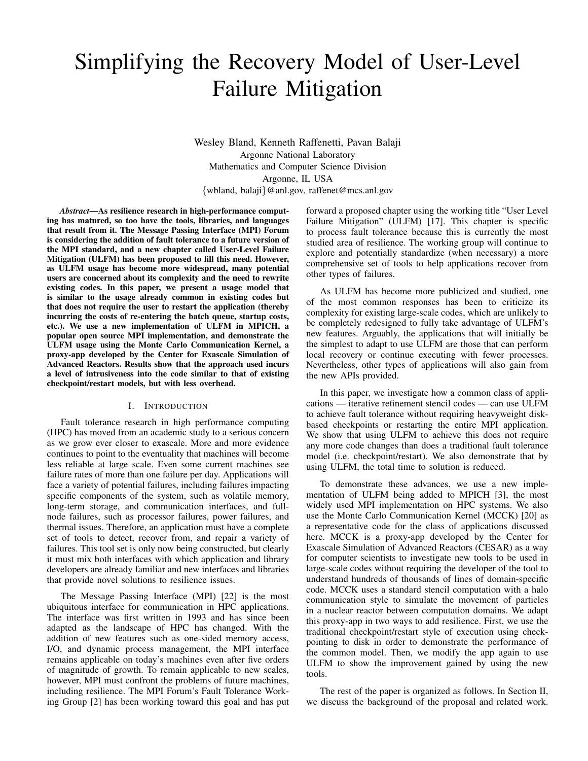# Simplifying the Recovery Model of User-Level Failure Mitigation

Wesley Bland, Kenneth Raffenetti, Pavan Balaji Argonne National Laboratory Mathematics and Computer Science Division Argonne, IL USA {wbland, balaji}@anl.gov, raffenet@mcs.anl.gov

*Abstract*—As resilience research in high-performance computing has matured, so too have the tools, libraries, and languages that result from it. The Message Passing Interface (MPI) Forum is considering the addition of fault tolerance to a future version of the MPI standard, and a new chapter called User-Level Failure Mitigation (ULFM) has been proposed to fill this need. However, as ULFM usage has become more widespread, many potential users are concerned about its complexity and the need to rewrite existing codes. In this paper, we present a usage model that is similar to the usage already common in existing codes but that does not require the user to restart the application (thereby incurring the costs of re-entering the batch queue, startup costs, etc.). We use a new implementation of ULFM in MPICH, a popular open source MPI implementation, and demonstrate the ULFM usage using the Monte Carlo Communication Kernel, a proxy-app developed by the Center for Exascale Simulation of Advanced Reactors. Results show that the approach used incurs a level of intrusiveness into the code similar to that of existing checkpoint/restart models, but with less overhead.

## I. INTRODUCTION

Fault tolerance research in high performance computing (HPC) has moved from an academic study to a serious concern as we grow ever closer to exascale. More and more evidence continues to point to the eventuality that machines will become less reliable at large scale. Even some current machines see failure rates of more than one failure per day. Applications will face a variety of potential failures, including failures impacting specific components of the system, such as volatile memory, long-term storage, and communication interfaces, and fullnode failures, such as processor failures, power failures, and thermal issues. Therefore, an application must have a complete set of tools to detect, recover from, and repair a variety of failures. This tool set is only now being constructed, but clearly it must mix both interfaces with which application and library developers are already familiar and new interfaces and libraries that provide novel solutions to resilience issues.

The Message Passing Interface (MPI) [22] is the most ubiquitous interface for communication in HPC applications. The interface was first written in 1993 and has since been adapted as the landscape of HPC has changed. With the addition of new features such as one-sided memory access, I/O, and dynamic process management, the MPI interface remains applicable on today's machines even after five orders of magnitude of growth. To remain applicable to new scales, however, MPI must confront the problems of future machines, including resilience. The MPI Forum's Fault Tolerance Working Group [2] has been working toward this goal and has put forward a proposed chapter using the working title "User Level Failure Mitigation" (ULFM) [17]. This chapter is specific to process fault tolerance because this is currently the most studied area of resilience. The working group will continue to explore and potentially standardize (when necessary) a more comprehensive set of tools to help applications recover from other types of failures.

As ULFM has become more publicized and studied, one of the most common responses has been to criticize its complexity for existing large-scale codes, which are unlikely to be completely redesigned to fully take advantage of ULFM's new features. Arguably, the applications that will initially be the simplest to adapt to use ULFM are those that can perform local recovery or continue executing with fewer processes. Nevertheless, other types of applications will also gain from the new APIs provided.

In this paper, we investigate how a common class of applications — iterative refinement stencil codes — can use ULFM to achieve fault tolerance without requiring heavyweight diskbased checkpoints or restarting the entire MPI application. We show that using ULFM to achieve this does not require any more code changes than does a traditional fault tolerance model (i.e. checkpoint/restart). We also demonstrate that by using ULFM, the total time to solution is reduced.

To demonstrate these advances, we use a new implementation of ULFM being added to MPICH [3], the most widely used MPI implementation on HPC systems. We also use the Monte Carlo Communication Kernel (MCCK) [20] as a representative code for the class of applications discussed here. MCCK is a proxy-app developed by the Center for Exascale Simulation of Advanced Reactors (CESAR) as a way for computer scientists to investigate new tools to be used in large-scale codes without requiring the developer of the tool to understand hundreds of thousands of lines of domain-specific code. MCCK uses a standard stencil computation with a halo communication style to simulate the movement of particles in a nuclear reactor between computation domains. We adapt this proxy-app in two ways to add resilience. First, we use the traditional checkpoint/restart style of execution using checkpointing to disk in order to demonstrate the performance of the common model. Then, we modify the app again to use ULFM to show the improvement gained by using the new tools.

The rest of the paper is organized as follows. In Section II, we discuss the background of the proposal and related work.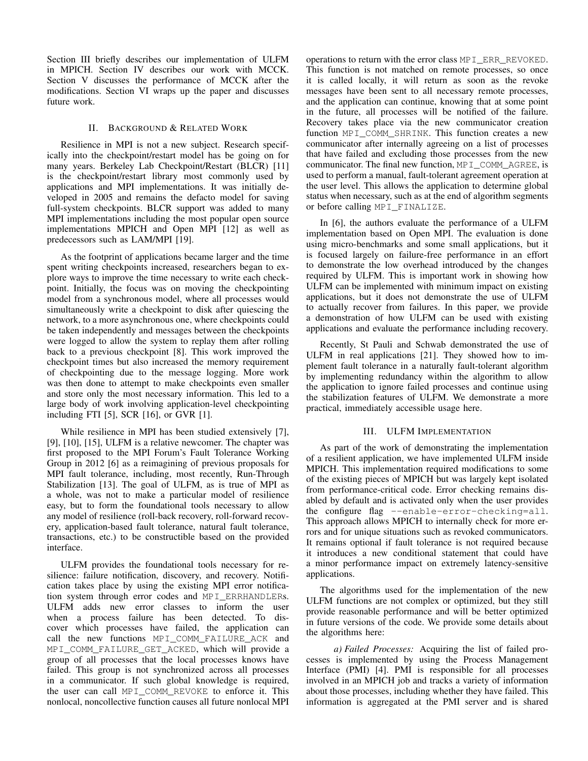Section III briefly describes our implementation of ULFM in MPICH. Section IV describes our work with MCCK. Section V discusses the performance of MCCK after the modifications. Section VI wraps up the paper and discusses future work.

## II. BACKGROUND & RELATED WORK

Resilience in MPI is not a new subject. Research specifically into the checkpoint/restart model has be going on for many years. Berkeley Lab Checkpoint/Restart (BLCR) [11] is the checkpoint/restart library most commonly used by applications and MPI implementations. It was initially developed in 2005 and remains the defacto model for saving full-system checkpoints. BLCR support was added to many MPI implementations including the most popular open source implementations MPICH and Open MPI [12] as well as predecessors such as LAM/MPI [19].

As the footprint of applications became larger and the time spent writing checkpoints increased, researchers began to explore ways to improve the time necessary to write each checkpoint. Initially, the focus was on moving the checkpointing model from a synchronous model, where all processes would simultaneously write a checkpoint to disk after quiescing the network, to a more asynchronous one, where checkpoints could be taken independently and messages between the checkpoints were logged to allow the system to replay them after rolling back to a previous checkpoint [8]. This work improved the checkpoint times but also increased the memory requirement of checkpointing due to the message logging. More work was then done to attempt to make checkpoints even smaller and store only the most necessary information. This led to a large body of work involving application-level checkpointing including FTI [5], SCR [16], or GVR [1].

While resilience in MPI has been studied extensively [7], [9], [10], [15], ULFM is a relative newcomer. The chapter was first proposed to the MPI Forum's Fault Tolerance Working Group in 2012 [6] as a reimagining of previous proposals for MPI fault tolerance, including, most recently, Run-Through Stabilization [13]. The goal of ULFM, as is true of MPI as a whole, was not to make a particular model of resilience easy, but to form the foundational tools necessary to allow any model of resilience (roll-back recovery, roll-forward recovery, application-based fault tolerance, natural fault tolerance, transactions, etc.) to be constructible based on the provided interface.

ULFM provides the foundational tools necessary for resilience: failure notification, discovery, and recovery. Notification takes place by using the existing MPI error notification system through error codes and MPI\_ERRHANDLERs. ULFM adds new error classes to inform the user when a process failure has been detected. To discover which processes have failed, the application can call the new functions MPI\_COMM\_FAILURE\_ACK and MPI\_COMM\_FAILURE\_GET\_ACKED, which will provide a group of all processes that the local processes knows have failed. This group is not synchronized across all processes in a communicator. If such global knowledge is required, the user can call MPI\_COMM\_REVOKE to enforce it. This nonlocal, noncollective function causes all future nonlocal MPI operations to return with the error class MPI\_ERR\_REVOKED. This function is not matched on remote processes, so once it is called locally, it will return as soon as the revoke messages have been sent to all necessary remote processes, and the application can continue, knowing that at some point in the future, all processes will be notified of the failure. Recovery takes place via the new communicator creation function MPI\_COMM\_SHRINK. This function creates a new communicator after internally agreeing on a list of processes that have failed and excluding those processes from the new communicator. The final new function, MPI\_COMM\_AGREE, is used to perform a manual, fault-tolerant agreement operation at the user level. This allows the application to determine global status when necessary, such as at the end of algorithm segments or before calling MPI\_FINALIZE.

In [6], the authors evaluate the performance of a ULFM implementation based on Open MPI. The evaluation is done using micro-benchmarks and some small applications, but it is focused largely on failure-free performance in an effort to demonstrate the low overhead introduced by the changes required by ULFM. This is important work in showing how ULFM can be implemented with minimum impact on existing applications, but it does not demonstrate the use of ULFM to actually recover from failures. In this paper, we provide a demonstration of how ULFM can be used with existing applications and evaluate the performance including recovery.

Recently, St Pauli and Schwab demonstrated the use of ULFM in real applications [21]. They showed how to implement fault tolerance in a naturally fault-tolerant algorithm by implementing redundancy within the algorithm to allow the application to ignore failed processes and continue using the stabilization features of ULFM. We demonstrate a more practical, immediately accessible usage here.

#### III. ULFM IMPLEMENTATION

As part of the work of demonstrating the implementation of a resilient application, we have implemented ULFM inside MPICH. This implementation required modifications to some of the existing pieces of MPICH but was largely kept isolated from performance-critical code. Error checking remains disabled by default and is activated only when the user provides the configure flag --enable-error-checking=all. This approach allows MPICH to internally check for more errors and for unique situations such as revoked communicators. It remains optional if fault tolerance is not required because it introduces a new conditional statement that could have a minor performance impact on extremely latency-sensitive applications.

The algorithms used for the implementation of the new ULFM functions are not complex or optimized, but they still provide reasonable performance and will be better optimized in future versions of the code. We provide some details about the algorithms here:

*a) Failed Processes:* Acquiring the list of failed processes is implemented by using the Process Management Interface (PMI) [4]. PMI is responsible for all processes involved in an MPICH job and tracks a variety of information about those processes, including whether they have failed. This information is aggregated at the PMI server and is shared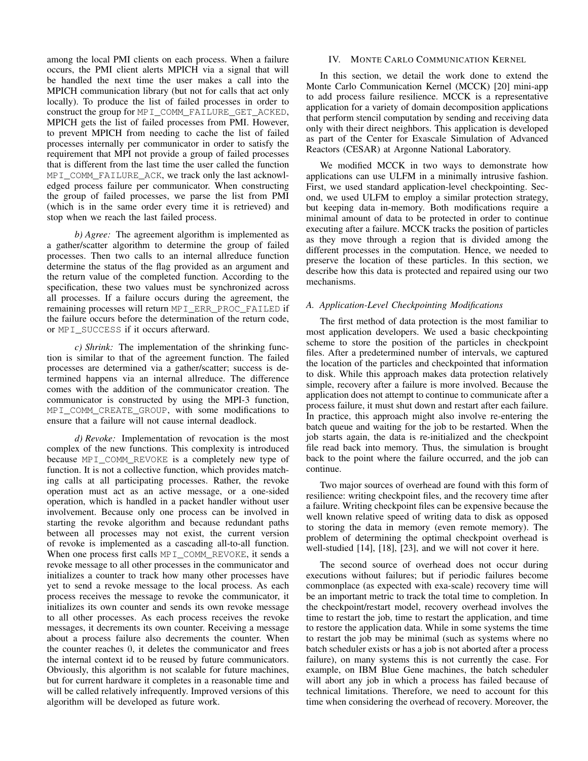among the local PMI clients on each process. When a failure occurs, the PMI client alerts MPICH via a signal that will be handled the next time the user makes a call into the MPICH communication library (but not for calls that act only locally). To produce the list of failed processes in order to construct the group for MPI\_COMM\_FAILURE\_GET\_ACKED, MPICH gets the list of failed processes from PMI. However, to prevent MPICH from needing to cache the list of failed processes internally per communicator in order to satisfy the requirement that MPI not provide a group of failed processes that is different from the last time the user called the function MPI\_COMM\_FAILURE\_ACK, we track only the last acknowledged process failure per communicator. When constructing the group of failed processes, we parse the list from PMI (which is in the same order every time it is retrieved) and stop when we reach the last failed process.

*b) Agree:* The agreement algorithm is implemented as a gather/scatter algorithm to determine the group of failed processes. Then two calls to an internal allreduce function determine the status of the flag provided as an argument and the return value of the completed function. According to the specification, these two values must be synchronized across all processes. If a failure occurs during the agreement, the remaining processes will return MPI\_ERR\_PROC\_FAILED if the failure occurs before the determination of the return code, or MPI\_SUCCESS if it occurs afterward.

*c) Shrink:* The implementation of the shrinking function is similar to that of the agreement function. The failed processes are determined via a gather/scatter; success is determined happens via an internal allreduce. The difference comes with the addition of the communicator creation. The communicator is constructed by using the MPI-3 function, MPI\_COMM\_CREATE\_GROUP, with some modifications to ensure that a failure will not cause internal deadlock.

*d) Revoke:* Implementation of revocation is the most complex of the new functions. This complexity is introduced because MPI\_COMM\_REVOKE is a completely new type of function. It is not a collective function, which provides matching calls at all participating processes. Rather, the revoke operation must act as an active message, or a one-sided operation, which is handled in a packet handler without user involvement. Because only one process can be involved in starting the revoke algorithm and because redundant paths between all processes may not exist, the current version of revoke is implemented as a cascading all-to-all function. When one process first calls MPI\_COMM\_REVOKE, it sends a revoke message to all other processes in the communicator and initializes a counter to track how many other processes have yet to send a revoke message to the local process. As each process receives the message to revoke the communicator, it initializes its own counter and sends its own revoke message to all other processes. As each process receives the revoke messages, it decrements its own counter. Receiving a message about a process failure also decrements the counter. When the counter reaches 0, it deletes the communicator and frees the internal context id to be reused by future communicators. Obviously, this algorithm is not scalable for future machines, but for current hardware it completes in a reasonable time and will be called relatively infrequently. Improved versions of this algorithm will be developed as future work.

## IV. MONTE CARLO COMMUNICATION KERNEL

In this section, we detail the work done to extend the Monte Carlo Communication Kernel (MCCK) [20] mini-app to add process failure resilience. MCCK is a representative application for a variety of domain decomposition applications that perform stencil computation by sending and receiving data only with their direct neighbors. This application is developed as part of the Center for Exascale Simulation of Advanced Reactors (CESAR) at Argonne National Laboratory.

We modified MCCK in two ways to demonstrate how applications can use ULFM in a minimally intrusive fashion. First, we used standard application-level checkpointing. Second, we used ULFM to employ a similar protection strategy, but keeping data in-memory. Both modifications require a minimal amount of data to be protected in order to continue executing after a failure. MCCK tracks the position of particles as they move through a region that is divided among the different processes in the computation. Hence, we needed to preserve the location of these particles. In this section, we describe how this data is protected and repaired using our two mechanisms.

## *A. Application-Level Checkpointing Modifications*

The first method of data protection is the most familiar to most application developers. We used a basic checkpointing scheme to store the position of the particles in checkpoint files. After a predetermined number of intervals, we captured the location of the particles and checkpointed that information to disk. While this approach makes data protection relatively simple, recovery after a failure is more involved. Because the application does not attempt to continue to communicate after a process failure, it must shut down and restart after each failure. In practice, this approach might also involve re-entering the batch queue and waiting for the job to be restarted. When the job starts again, the data is re-initialized and the checkpoint file read back into memory. Thus, the simulation is brought back to the point where the failure occurred, and the job can continue.

Two major sources of overhead are found with this form of resilience: writing checkpoint files, and the recovery time after a failure. Writing checkpoint files can be expensive because the well known relative speed of writing data to disk as opposed to storing the data in memory (even remote memory). The problem of determining the optimal checkpoint overhead is well-studied [14], [18], [23], and we will not cover it here.

The second source of overhead does not occur during executions without failures; but if periodic failures become commonplace (as expected with exa-scale) recovery time will be an important metric to track the total time to completion. In the checkpoint/restart model, recovery overhead involves the time to restart the job, time to restart the application, and time to restore the application data. While in some systems the time to restart the job may be minimal (such as systems where no batch scheduler exists or has a job is not aborted after a process failure), on many systems this is not currently the case. For example, on IBM Blue Gene machines, the batch scheduler will abort any job in which a process has failed because of technical limitations. Therefore, we need to account for this time when considering the overhead of recovery. Moreover, the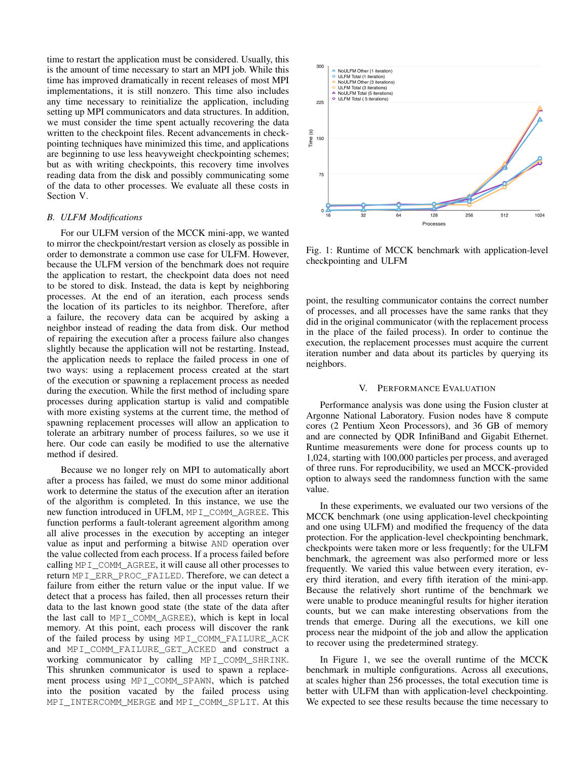time to restart the application must be considered. Usually, this is the amount of time necessary to start an MPI job. While this time has improved dramatically in recent releases of most MPI implementations, it is still nonzero. This time also includes any time necessary to reinitialize the application, including setting up MPI communicators and data structures. In addition, we must consider the time spent actually recovering the data written to the checkpoint files. Recent advancements in checkpointing techniques have minimized this time, and applications are beginning to use less heavyweight checkpointing schemes; but as with writing checkpoints, this recovery time involves reading data from the disk and possibly communicating some of the data to other processes. We evaluate all these costs in Section V.

## *B. ULFM Modifications*

For our ULFM version of the MCCK mini-app, we wanted to mirror the checkpoint/restart version as closely as possible in order to demonstrate a common use case for ULFM. However, because the ULFM version of the benchmark does not require the application to restart, the checkpoint data does not need to be stored to disk. Instead, the data is kept by neighboring processes. At the end of an iteration, each process sends the location of its particles to its neighbor. Therefore, after a failure, the recovery data can be acquired by asking a neighbor instead of reading the data from disk. Our method of repairing the execution after a process failure also changes slightly because the application will not be restarting. Instead, the application needs to replace the failed process in one of two ways: using a replacement process created at the start of the execution or spawning a replacement process as needed during the execution. While the first method of including spare processes during application startup is valid and compatible with more existing systems at the current time, the method of spawning replacement processes will allow an application to tolerate an arbitrary number of process failures, so we use it here. Our code can easily be modified to use the alternative method if desired.

Because we no longer rely on MPI to automatically abort after a process has failed, we must do some minor additional work to determine the status of the execution after an iteration of the algorithm is completed. In this instance, we use the new function introduced in UFLM, MPI\_COMM\_AGREE. This function performs a fault-tolerant agreement algorithm among all alive processes in the execution by accepting an integer value as input and performing a bitwise AND operation over the value collected from each process. If a process failed before calling MPI\_COMM\_AGREE, it will cause all other processes to return MPI\_ERR\_PROC\_FAILED. Therefore, we can detect a failure from either the return value or the input value. If we detect that a process has failed, then all processes return their data to the last known good state (the state of the data after the last call to MPI\_COMM\_AGREE), which is kept in local memory. At this point, each process will discover the rank of the failed process by using MPI\_COMM\_FAILURE\_ACK and MPI\_COMM\_FAILURE\_GET\_ACKED and construct a working communicator by calling MPI\_COMM\_SHRINK. This shrunken communicator is used to spawn a replacement process using MPI\_COMM\_SPAWN, which is patched into the position vacated by the failed process using MPI\_INTERCOMM\_MERGE and MPI\_COMM\_SPLIT. At this



Fig. 1: Runtime of MCCK benchmark with application-level checkpointing and ULFM

point, the resulting communicator contains the correct number of processes, and all processes have the same ranks that they did in the original communicator (with the replacement process in the place of the failed process). In order to continue the execution, the replacement processes must acquire the current iteration number and data about its particles by querying its neighbors.

#### V. PERFORMANCE EVALUATION

Performance analysis was done using the Fusion cluster at Argonne National Laboratory. Fusion nodes have 8 compute cores (2 Pentium Xeon Processors), and 36 GB of memory and are connected by QDR InfiniBand and Gigabit Ethernet. Runtime measurements were done for process counts up to 1,024, starting with 100,000 particles per process, and averaged of three runs. For reproducibility, we used an MCCK-provided option to always seed the randomness function with the same value.

In these experiments, we evaluated our two versions of the MCCK benchmark (one using application-level checkpointing and one using ULFM) and modified the frequency of the data protection. For the application-level checkpointing benchmark, checkpoints were taken more or less frequently; for the ULFM benchmark, the agreement was also performed more or less frequently. We varied this value between every iteration, every third iteration, and every fifth iteration of the mini-app. Because the relatively short runtime of the benchmark we were unable to produce meaningful results for higher iteration counts, but we can make interesting observations from the trends that emerge. During all the executions, we kill one process near the midpoint of the job and allow the application to recover using the predetermined strategy.

In Figure 1, we see the overall runtime of the MCCK benchmark in multiple configurations. Across all executions, at scales higher than 256 processes, the total execution time is better with ULFM than with application-level checkpointing. We expected to see these results because the time necessary to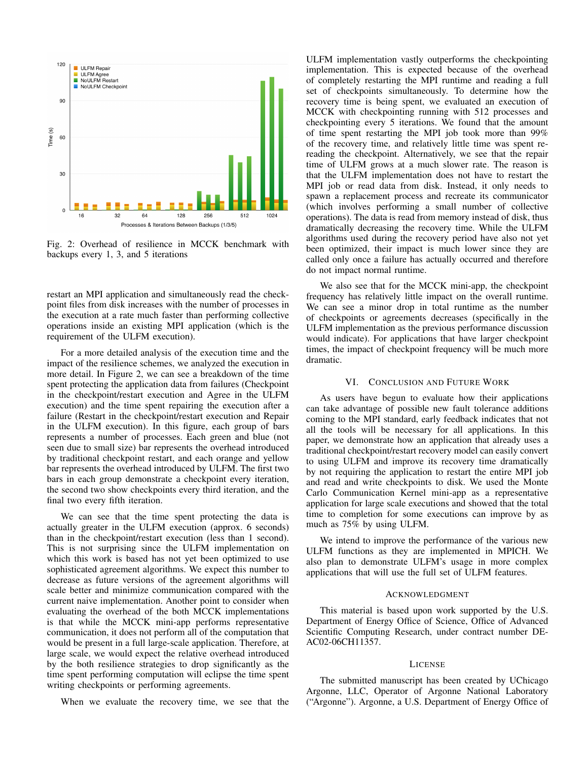

Fig. 2: Overhead of resilience in MCCK benchmark with backups every 1, 3, and 5 iterations

restart an MPI application and simultaneously read the checkpoint files from disk increases with the number of processes in the execution at a rate much faster than performing collective operations inside an existing MPI application (which is the requirement of the ULFM execution).

For a more detailed analysis of the execution time and the impact of the resilience schemes, we analyzed the execution in more detail. In Figure 2, we can see a breakdown of the time spent protecting the application data from failures (Checkpoint in the checkpoint/restart execution and Agree in the ULFM execution) and the time spent repairing the execution after a failure (Restart in the checkpoint/restart execution and Repair in the ULFM execution). In this figure, each group of bars represents a number of processes. Each green and blue (not seen due to small size) bar represents the overhead introduced by traditional checkpoint restart, and each orange and yellow bar represents the overhead introduced by ULFM. The first two bars in each group demonstrate a checkpoint every iteration, the second two show checkpoints every third iteration, and the final two every fifth iteration.

We can see that the time spent protecting the data is actually greater in the ULFM execution (approx. 6 seconds) than in the checkpoint/restart execution (less than 1 second). This is not surprising since the ULFM implementation on which this work is based has not yet been optimized to use sophisticated agreement algorithms. We expect this number to decrease as future versions of the agreement algorithms will scale better and minimize communication compared with the current naive implementation. Another point to consider when evaluating the overhead of the both MCCK implementations is that while the MCCK mini-app performs representative communication, it does not perform all of the computation that would be present in a full large-scale application. Therefore, at large scale, we would expect the relative overhead introduced by the both resilience strategies to drop significantly as the time spent performing computation will eclipse the time spent writing checkpoints or performing agreements.

When we evaluate the recovery time, we see that the

ULFM implementation vastly outperforms the checkpointing implementation. This is expected because of the overhead of completely restarting the MPI runtime and reading a full set of checkpoints simultaneously. To determine how the recovery time is being spent, we evaluated an execution of MCCK with checkpointing running with 512 processes and checkpointing every 5 iterations. We found that the amount of time spent restarting the MPI job took more than 99% of the recovery time, and relatively little time was spent rereading the checkpoint. Alternatively, we see that the repair time of ULFM grows at a much slower rate. The reason is that the ULFM implementation does not have to restart the MPI job or read data from disk. Instead, it only needs to spawn a replacement process and recreate its communicator (which involves performing a small number of collective operations). The data is read from memory instead of disk, thus dramatically decreasing the recovery time. While the ULFM algorithms used during the recovery period have also not yet been optimized, their impact is much lower since they are called only once a failure has actually occurred and therefore do not impact normal runtime.

We also see that for the MCCK mini-app, the checkpoint frequency has relatively little impact on the overall runtime. We can see a minor drop in total runtime as the number of checkpoints or agreements decreases (specifically in the ULFM implementation as the previous performance discussion would indicate). For applications that have larger checkpoint times, the impact of checkpoint frequency will be much more dramatic.

## VI. CONCLUSION AND FUTURE WORK

As users have begun to evaluate how their applications can take advantage of possible new fault tolerance additions coming to the MPI standard, early feedback indicates that not all the tools will be necessary for all applications. In this paper, we demonstrate how an application that already uses a traditional checkpoint/restart recovery model can easily convert to using ULFM and improve its recovery time dramatically by not requiring the application to restart the entire MPI job and read and write checkpoints to disk. We used the Monte Carlo Communication Kernel mini-app as a representative application for large scale executions and showed that the total time to completion for some executions can improve by as much as 75% by using ULFM.

We intend to improve the performance of the various new ULFM functions as they are implemented in MPICH. We also plan to demonstrate ULFM's usage in more complex applications that will use the full set of ULFM features.

#### ACKNOWLEDGMENT

This material is based upon work supported by the U.S. Department of Energy Office of Science, Office of Advanced Scientific Computing Research, under contract number DE-AC02-06CH11357.

## LICENSE

The submitted manuscript has been created by UChicago Argonne, LLC, Operator of Argonne National Laboratory ("Argonne"). Argonne, a U.S. Department of Energy Office of